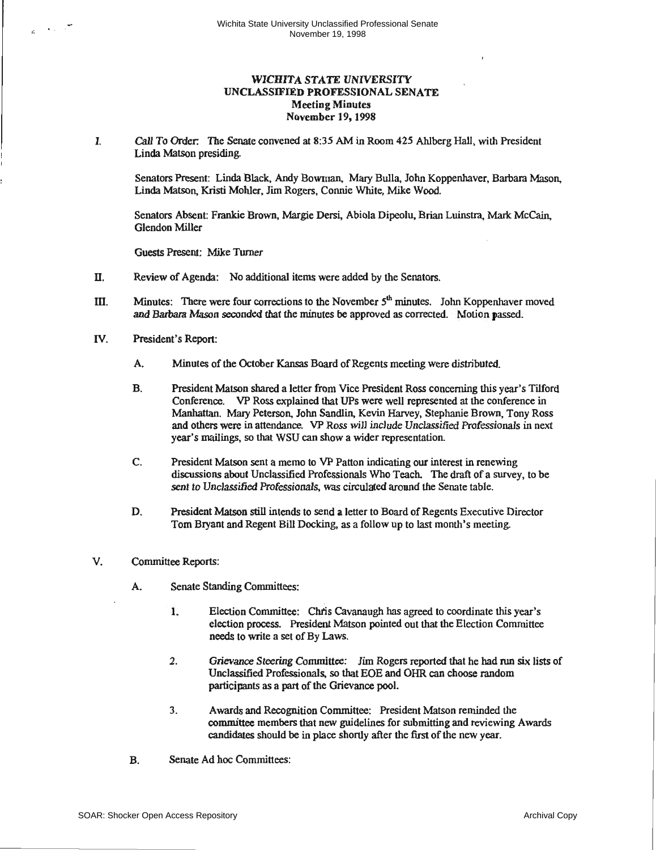## **WICHITA STATE UNIVERSITY UNCLASSIFIED PROFESSIONAL SENATE Meeting Minutes November** 19, 1998

I. Call To Order: The Senate convened at 8:35 AM in Room 425 Ahlberg HalJ, with President Linda Matson presiding.

Senators Present: Linda Black. Andy Bowman, Mary Bulla, John Koppenhaver, Barbara Mason, Linda Matson, Kristi Mohler, Jim Rogers, Connie White, Mike Wood.

Senators Absent: Frankie Brown, Margie Dersi, Abiola Dipeolu. Brian Luinstra, Mark McCain, Glendon Miller

Guests Present: Mike Turner

- II. Review of Agenda: No additional items were added by the Senators.
- III. Minutes: There were four corrections to the November  $5<sup>th</sup>$  minutes. John Koppenhaver moved and Barbara Mason seconded that the minutes be approved as corrected. Motion passed.
- IV. President's Report:
	- A. Minutes of the October Kansas Board of Regents meeting were distributed.
	- B. President Matson shared a letter from Vice President Ross concerning this year's Tilford Conference. VP Ross explained that UPs were well represented at the conference in Manhattan. Mary Peterson, John Sandlin, Kevin Harvey, Stephanie Brown, Tony Ross and others were in attendance. VP Ross will include Unclassified Professionals in next year's mailings, so that WSU can show a wider representation
	- C. President Matson sent a memo to VP Patton indicating our interest in renewing discussions about Unclassified Professionals Who Teach. The draft of a survey, to be sent to Unclassified Professionals, was circulated around the Senate table.
	- D. President Matson still intends to send a letter to Board of Regents Executive Director Tom Bryant and Regent Bill Docking, as a follow up to last month's meeting.
- V. Committee Reports:
	- A. Senate Standing Committees:
		- 1. Election Committee: Chris Cavanaugh has agreed to coordinate this year's election process. President Matson pointed out that the Election Committee needs to write a set of By Laws.
		- 2. Grievance Steering Committee: Jim Rogers reported that he had run six lists of Unclassified Professionals, so that EOE and OHR can choose random participants as a part of the Grievance pool.
		- 3. Awards and Recognition Committee: President Matson reminded the committee members that new guidelines for submitting and reviewing Awards candidates should be in place shortly after the first of the new year.
	- B. Senate Ad hoc Committees: